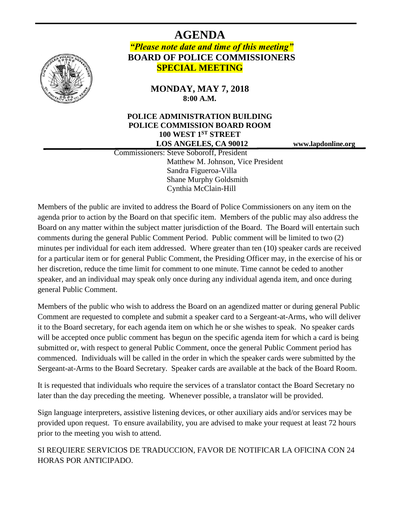

## **AGENDA** *"Please note date and time of this meeting"* **BOARD OF POLICE COMMISSIONERS SPECIAL MEETING**

**MONDAY, MAY 7, 2018 8:00 A.M.**

## **POLICE ADMINISTRATION BUILDING POLICE COMMISSION BOARD ROOM 100 WEST 1ST STREET LOS ANGELES, CA 90012 www.lapdonline.org**

 Commissioners: Steve Soboroff, President Matthew M. Johnson, Vice President Sandra Figueroa-Villa Shane Murphy Goldsmith Cynthia McClain-Hill

Members of the public are invited to address the Board of Police Commissioners on any item on the agenda prior to action by the Board on that specific item. Members of the public may also address the Board on any matter within the subject matter jurisdiction of the Board. The Board will entertain such comments during the general Public Comment Period. Public comment will be limited to two (2) minutes per individual for each item addressed. Where greater than ten (10) speaker cards are received for a particular item or for general Public Comment, the Presiding Officer may, in the exercise of his or her discretion, reduce the time limit for comment to one minute. Time cannot be ceded to another speaker, and an individual may speak only once during any individual agenda item, and once during general Public Comment.

Members of the public who wish to address the Board on an agendized matter or during general Public Comment are requested to complete and submit a speaker card to a Sergeant-at-Arms, who will deliver it to the Board secretary, for each agenda item on which he or she wishes to speak. No speaker cards will be accepted once public comment has begun on the specific agenda item for which a card is being submitted or, with respect to general Public Comment, once the general Public Comment period has commenced. Individuals will be called in the order in which the speaker cards were submitted by the Sergeant-at-Arms to the Board Secretary. Speaker cards are available at the back of the Board Room.

It is requested that individuals who require the services of a translator contact the Board Secretary no later than the day preceding the meeting. Whenever possible, a translator will be provided.

Sign language interpreters, assistive listening devices, or other auxiliary aids and/or services may be provided upon request. To ensure availability, you are advised to make your request at least 72 hours prior to the meeting you wish to attend.

SI REQUIERE SERVICIOS DE TRADUCCION, FAVOR DE NOTIFICAR LA OFICINA CON 24 HORAS POR ANTICIPADO.